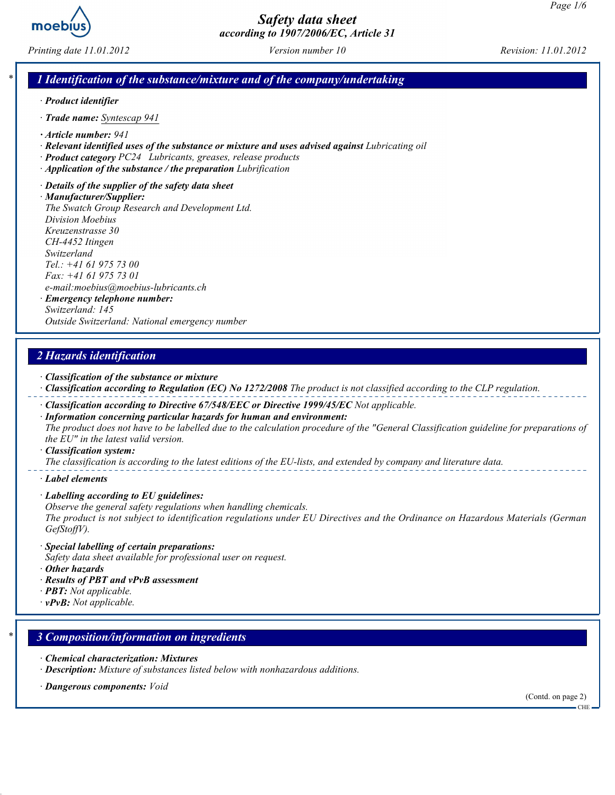

Printing date 11.01.2012 Version number 10 Revision: 11.01.2012

### 1 Identification of the substance/mixture and of the company/undertaking

- · Product identifier
- · Trade name: Syntescap 941
- · Article number: 941
- · Relevant identified uses of the substance or mixture and uses advised against Lubricating oil
- · Product category PC24 Lubricants, greases, release products
- · Application of the substance / the preparation Lubrification
- · Details of the supplier of the safety data sheet

· Manufacturer/Supplier: The Swatch Group Research and Development Ltd. Division Moebius Kreuzenstrasse 30 CH-4452 Itingen Switzerland Tel.: +41 61 975 73 00 Fax: +41 61 975 73 01 e-mail:moebius@moebius-lubricants.ch · Emergency telephone number: Switzerland: 145

Outside Switzerland: National emergency number

## 2 Hazards identification

- · Classification of the substance or mixture
- · Classification according to Regulation (EC) No 1272/2008 The product is not classified according to the CLP regulation.
- · Classification according to Directive 67/548/EEC or Directive 1999/45/EC Not applicable.
- · Information concerning particular hazards for human and environment: The product does not have to be labelled due to the calculation procedure of the "General Classification guideline for preparations of the EU" in the latest valid version.
- · Classification system:

The classification is according to the latest editions of the EU-lists, and extended by company and literature data.

- · Label elements
- · Labelling according to EU guidelines:
- Observe the general safety regulations when handling chemicals.

The product is not subject to identification regulations under EU Directives and the Ordinance on Hazardous Materials (German GefStoffV).

- · Special labelling of certain preparations:
- Safety data sheet available for professional user on request.
- · Other hazards
- · Results of PBT and vPvB assessment
- $\cdot$  **PBT:** Not applicable.
- $\cdot$  vPvB: Not applicable.

### 3 Composition/information on ingredients

- · Chemical characterization: Mixtures
- · Description: Mixture of substances listed below with nonhazardous additions.
- · Dangerous components: Void

(Contd. on page 2)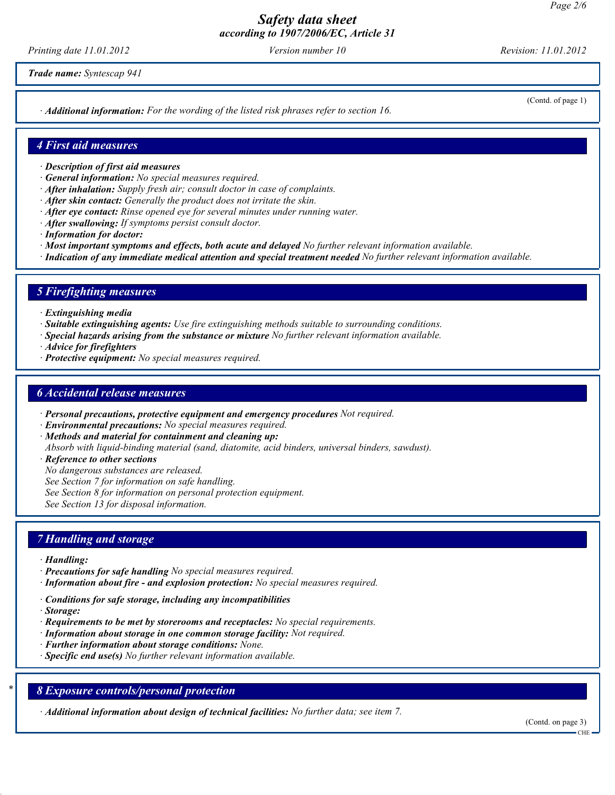Printing date 11.01.2012 **Version number 10** Revision: 11.01.2012

Trade name: Syntescap 941

· Additional information: For the wording of the listed risk phrases refer to section 16.

(Contd. of page 1)

#### 4 First aid measures

- · Description of first aid measures
- · General information: No special measures required.
- · After inhalation: Supply fresh air; consult doctor in case of complaints.
- · After skin contact: Generally the product does not irritate the skin.
- $\cdot$  After eve contact: Rinse opened eve for several minutes under running water.
- · After swallowing: If symptoms persist consult doctor.
- · Information for doctor:
- · Most important symptoms and effects, both acute and delayed No further relevant information available.
- · Indication of any immediate medical attention and special treatment needed No further relevant information available.

### 5 Firefighting measures

- · Extinguishing media
- · Suitable extinguishing agents: Use fire extinguishing methods suitable to surrounding conditions.
- · Special hazards arising from the substance or mixture No further relevant information available.
- · Advice for firefighters
- · Protective equipment: No special measures required.

### 6 Accidental release measures

- · Personal precautions, protective equipment and emergency procedures Not required.
- · Environmental precautions: No special measures required.
- · Methods and material for containment and cleaning up:
- Absorb with liquid-binding material (sand, diatomite, acid binders, universal binders, sawdust).
- · Reference to other sections
- No dangerous substances are released.
- See Section 7 for information on safe handling.
- See Section 8 for information on personal protection equipment.

See Section 13 for disposal information.

### 7 Handling and storage

- · Handling:
- · Precautions for safe handling No special measures required.
- · Information about fire and explosion protection: No special measures required.
- · Conditions for safe storage, including any incompatibilities
- · Storage:
- $\cdot$  Requirements to be met by storerooms and receptacles: No special requirements.
- · Information about storage in one common storage facility: Not required.
- · Further information about storage conditions: None.
- $\cdot$  Specific end use(s) No further relevant information available.

### 8 Exposure controls/personal protection

· Additional information about design of technical facilities: No further data; see item 7.

(Contd. on page 3)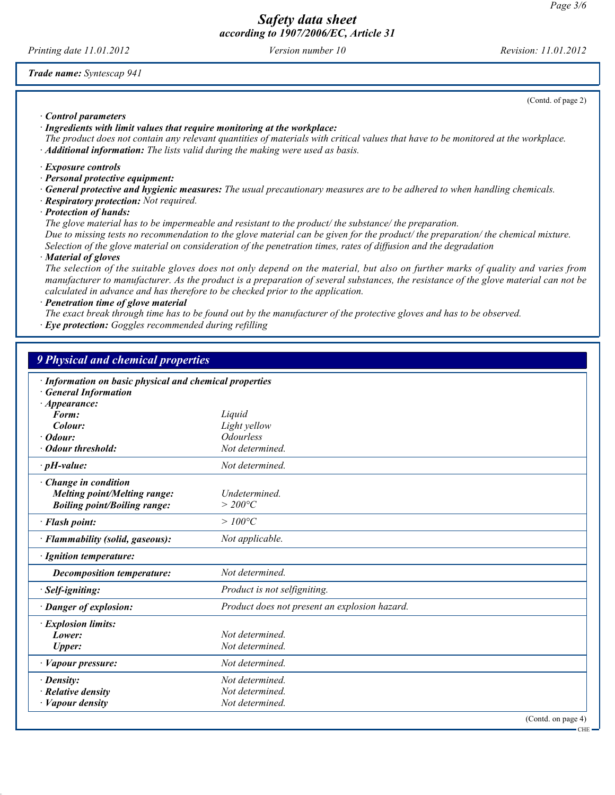Printing date 11.01.2012 Version number 10 Revision: 11.01.2012

Trade name: Syntescap 941

(Contd. of page 2)

· Control parameters

· Ingredients with limit values that require monitoring at the workplace:

The product does not contain any relevant quantities of materials with critical values that have to be monitored at the workplace.  $\cdot$  **Additional information:** The lists valid during the making were used as basis.

· Exposure controls

· Personal protective equipment:

· General protective and hygienic measures: The usual precautionary measures are to be adhered to when handling chemicals.

· Respiratory protection: Not required.

· Protection of hands:

The glove material has to be impermeable and resistant to the product/ the substance/ the preparation.

Due to missing tests no recommendation to the glove material can be given for the product/ the preparation/ the chemical mixture. Selection of the glove material on consideration of the penetration times, rates of diffusion and the degradation

· Material of gloves

The selection of the suitable gloves does not only depend on the material, but also on further marks of quality and varies from manufacturer to manufacturer. As the product is a preparation of several substances, the resistance of the glove material can not be calculated in advance and has therefore to be checked prior to the application.

· Penetration time of glove material

The exact break through time has to be found out by the manufacturer of the protective gloves and has to be observed.

· Eye protection: Goggles recommended during refilling

| 9 Physical and chemical properties                                                                           |                                               |                    |
|--------------------------------------------------------------------------------------------------------------|-----------------------------------------------|--------------------|
| · Information on basic physical and chemical properties<br><b>General Information</b><br>$\cdot$ Appearance: |                                               |                    |
| Form:                                                                                                        | Liquid                                        |                    |
| Colour:                                                                                                      | Light yellow                                  |                    |
| Odour:                                                                                                       | <b>Odourless</b>                              |                    |
| <b>Odour threshold:</b>                                                                                      | Not determined.                               |                    |
| $\cdot$ pH-value:                                                                                            | Not determined.                               |                    |
| Change in condition<br><b>Melting point/Melting range:</b><br><b>Boiling point/Boiling range:</b>            | Undetermined.<br>$>$ 200°C                    |                    |
| · Flash point:                                                                                               | $>100^{\circ}C$                               |                    |
| · Flammability (solid, gaseous):                                                                             | Not applicable.                               |                    |
| · Ignition temperature:                                                                                      |                                               |                    |
| <b>Decomposition temperature:</b>                                                                            | Not determined.                               |                    |
| · Self-igniting:                                                                                             | Product is not selfigniting.                  |                    |
| · Danger of explosion:                                                                                       | Product does not present an explosion hazard. |                    |
| · Explosion limits:                                                                                          |                                               |                    |
| Lower:                                                                                                       | Not determined.                               |                    |
| <b>Upper:</b>                                                                                                | Not determined.                               |                    |
| · Vapour pressure:                                                                                           | Not determined.                               |                    |
| $\cdot$ Density:                                                                                             | Not determined.                               |                    |
| $\cdot$ Relative density                                                                                     | Not determined.                               |                    |
| <b>Vapour density</b>                                                                                        | Not determined.                               |                    |
|                                                                                                              |                                               | (Contd. on page 4) |

CHE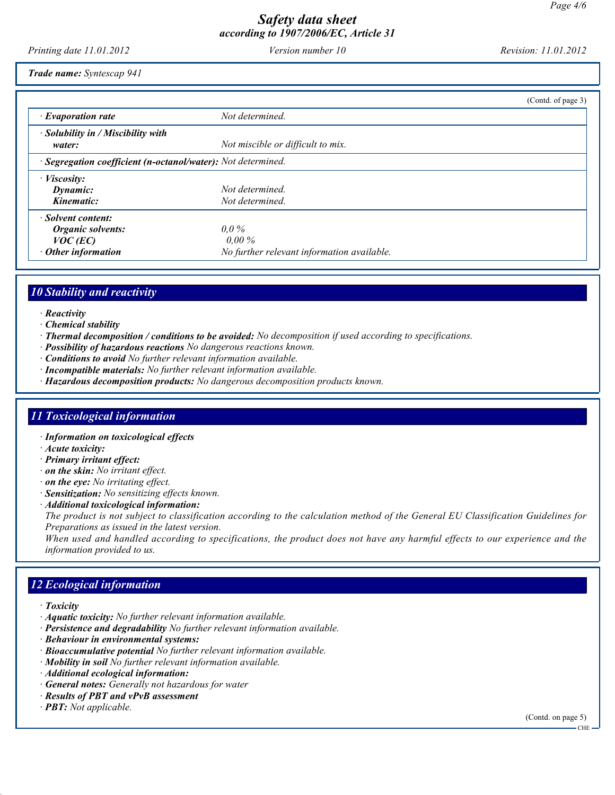Printing date 11.01.2012 Version number 10 Revision: 11.01.2012

Trade name: Syntescap 941

|                                                                                           |                                                                   | (Contd. of page 3) |
|-------------------------------------------------------------------------------------------|-------------------------------------------------------------------|--------------------|
| $\cdot$ Evaporation rate                                                                  | Not determined.                                                   |                    |
| $\cdot$ Solubility in / Miscibility with<br>water:                                        | Not miscible or difficult to mix.                                 |                    |
| · Segregation coefficient (n-octanol/water): Not determined.                              |                                                                   |                    |
| $\cdot$ <i>Viscosity:</i><br>Dynamic:                                                     | Not determined.                                                   |                    |
| Kinematic:                                                                                | Not determined.                                                   |                    |
| · Solvent content:<br><b>Organic solvents:</b><br>$VOC$ (EC)<br>$\cdot$ Other information | $0.0\%$<br>$0.00\%$<br>No further relevant information available. |                    |

# 10 Stability and reactivity

- · Reactivity
- · Chemical stability
- · Thermal decomposition / conditions to be avoided: No decomposition if used according to specifications.
- · Possibility of hazardous reactions No dangerous reactions known.
- · Conditions to avoid No further relevant information available.
- · Incompatible materials: No further relevant information available.
- · Hazardous decomposition products: No dangerous decomposition products known.

## 11 Toxicological information

- · Information on toxicological effects
- · Acute toxicity:
- · Primary irritant effect:
- · on the skin: No irritant effect.
- $\cdot$  on the eye: No irritating effect.
- · Sensitization: No sensitizing effects known.
- · Additional toxicological information:

The product is not subject to classification according to the calculation method of the General EU Classification Guidelines for Preparations as issued in the latest version.

When used and handled according to specifications, the product does not have any harmful effects to our experience and the information provided to us.

# 12 Ecological information

- · Toxicity
- · Aquatic toxicity: No further relevant information available.
- · Persistence and degradability No further relevant information available.
- · Behaviour in environmental systems:
- · Bioaccumulative potential No further relevant information available.
- $\cdot$  Mobility in soil  $\bar{No}$  further relevant information available.
- · Additional ecological information:
- · General notes: Generally not hazardous for water
- · Results of PBT and vPvB assessment
- $\cdot$  **PBT:** Not applicable.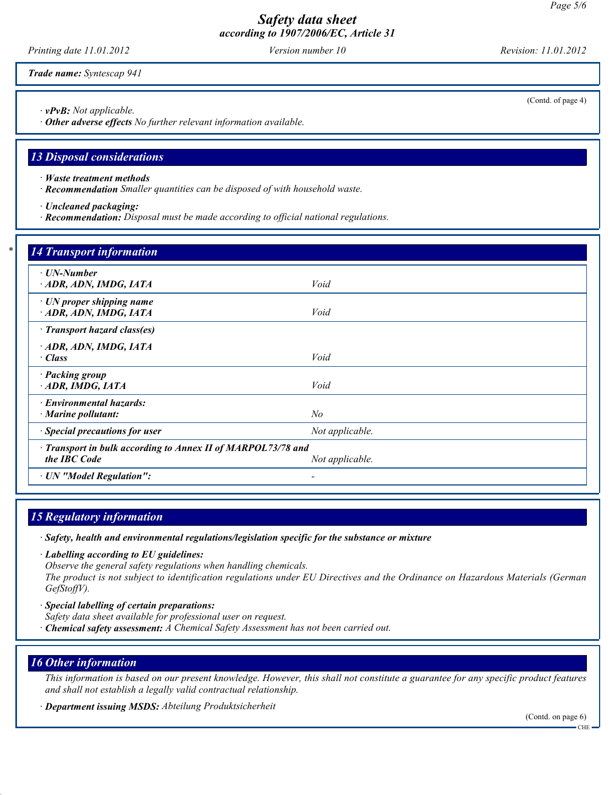Printing date 11.01.2012 Version number 10 Revision: 11.01.2012

Trade name: Syntescap 941

· vPvB: Not applicable.

· Other adverse effects No further relevant information available.

## 13 Disposal considerations

- · Waste treatment methods
- · Recommendation Smaller quantities can be disposed of with household waste.
- · Uncleaned packaging:
- · Recommendation: Disposal must be made according to official national regulations.

| $\cdot$ UN-Number                                            |                 |  |
|--------------------------------------------------------------|-----------------|--|
| ADR, ADN, IMDG, IATA                                         | Void            |  |
|                                                              |                 |  |
| $\cdot$ UN proper shipping name                              |                 |  |
| · ADR, ADN, IMDG, IATA                                       | Void            |  |
| · Transport hazard class(es)                                 |                 |  |
| ADR, ADN, IMDG, IATA                                         |                 |  |
| · Class                                                      | Void            |  |
| · Packing group                                              |                 |  |
| $-$ ADR, IMDG, IATA                                          | Void            |  |
| · Environmental hazards:                                     |                 |  |
| $\cdot$ Marine pollutant:                                    | $N\!o$          |  |
| · Special precautions for user                               | Not applicable. |  |
| · Transport in bulk according to Annex II of MARPOL73/78 and |                 |  |
| the IBC Code                                                 | Not applicable. |  |

# 15 Regulatory information

· Safety, health and environmental regulations/legislation specific for the substance or mixture

· Labelling according to EU guidelines: Observe the general safety regulations when handling chemicals.

The product is not subject to identification regulations under EU Directives and the Ordinance on Hazardous Materials (German GefStoffV).

· Special labelling of certain preparations:

Safety data sheet available for professional user on request.

· Chemical safety assessment: A Chemical Safety Assessment has not been carried out.

## 16 Other information

This information is based on our present knowledge. However, this shall not constitute a guarantee for any specific product features and shall not establish a legally valid contractual relationship.

· Department issuing MSDS: Abteilung Produktsicherheit

(Contd. on page 6) CHE

(Contd. of page 4)